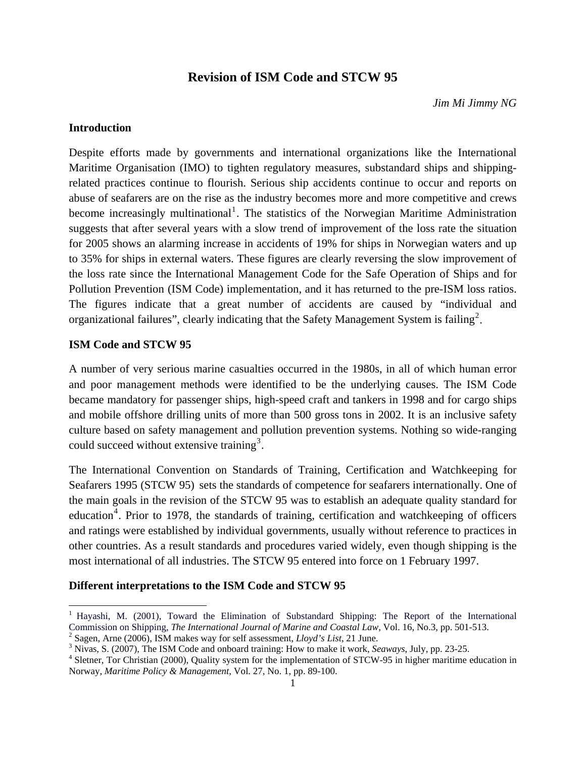# **Revision of ISM Code and STCW 95**

*Jim Mi Jimmy NG* 

## **Introduction**

Despite efforts made by governments and international organizations like the International Maritime Organisation (IMO) to tighten regulatory measures, substandard ships and shippingrelated practices continue to flourish. Serious ship accidents continue to occur and reports on abuse of seafarers are on the rise as the industry becomes more and more competitive and crews become increasingly multinational<sup>[1](#page-0-0)</sup>. The statistics of the Norwegian Maritime Administration suggests that after several years with a slow trend of improvement of the loss rate the situation for 2005 shows an alarming increase in accidents of 19% for ships in Norwegian waters and up to 35% for ships in external waters. These figures are clearly reversing the slow improvement of the loss rate since the International Management Code for the Safe Operation of Ships and for Pollution Prevention (ISM Code) implementation, and it has returned to the pre-ISM loss ratios. The figures indicate that a great number of accidents are caused by "individual and organizational failures", clearly indicating that the Safety Management System is failing<sup>[2](#page-0-1)</sup>.

#### **ISM Code and STCW 95**

 $\overline{\phantom{a}}$ 

A number of very serious marine casualties occurred in the 1980s, in all of which human error and poor management methods were identified to be the underlying causes. The ISM Code became mandatory for passenger ships, high-speed craft and tankers in 1998 and for cargo ships and mobile offshore drilling units of more than 500 gross tons in 2002. It is an inclusive safety culture based on safety management and pollution prevention systems. Nothing so wide-ranging could succeed without extensive training<sup>[3](#page-0-2)</sup>.

The International Convention on Standards of Training, Certification and Watchkeeping for Seafarers 1995 (STCW 95) sets the standards of competence for seafarers internationally. One of the main goals in the revision of the STCW 95 was to establish an adequate quality standard for education<sup>[4](#page-0-3)</sup>. Prior to 1978, the standards of training, certification and watchkeeping of officers and ratings were established by individual governments, usually without reference to practices in other countries. As a result standards and procedures varied widely, even though shipping is the most international of all industries. The STCW 95 entered into force on 1 February 1997.

# **Different interpretations to the ISM Code and STCW 95**

<span id="page-0-0"></span><sup>&</sup>lt;sup>1</sup> Hayashi, M. (2001), Toward the Elimination of Substandard Shipping: The Report of the International Commission on Shipping, *The International Journal of Marine and Coastal Law*, Vol. 16, No.3, pp. 501-513. 2

<span id="page-0-1"></span> $\alpha^2$  Sagen, Arne (2006), ISM makes way for self assessment, *Lloyd's List*, 21 June.

<span id="page-0-2"></span>Nivas, S. (2007), The ISM Code and onboard training: How to make it work, *Seaways*, July, pp. 23-25. 4

<span id="page-0-3"></span><sup>&</sup>lt;sup>4</sup> Sletner, Tor Christian (2000), Quality system for the implementation of STCW-95 in higher maritime education in Norway, *Maritime Policy & Management,* Vol. 27, No. 1, pp. 89-100.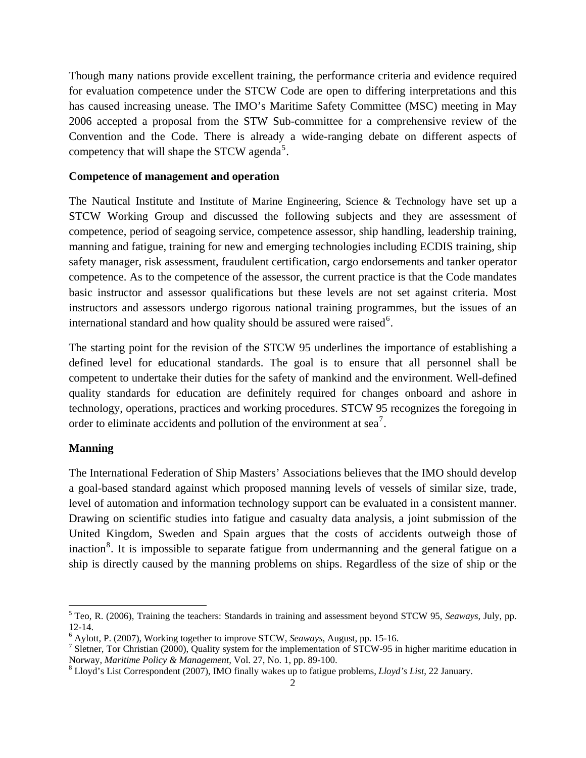Though many nations provide excellent training, the performance criteria and evidence required for evaluation competence under the STCW Code are open to differing interpretations and this has caused increasing unease. The IMO's Maritime Safety Committee (MSC) meeting in May 2006 accepted a proposal from the STW Sub-committee for a comprehensive review of the Convention and the Code. There is already a wide-ranging debate on different aspects of competency that will shape the STCW agenda<sup>[5](#page-1-0)</sup>.

#### **Competence of management and operation**

The Nautical Institute and Institute of Marine Engineering, Science & Technology have set up a STCW Working Group and discussed the following subjects and they are assessment of competence, period of seagoing service, competence assessor, ship handling, leadership training, manning and fatigue, training for new and emerging technologies including ECDIS training, ship safety manager, risk assessment, fraudulent certification, cargo endorsements and tanker operator competence. As to the competence of the assessor, the current practice is that the Code mandates basic instructor and assessor qualifications but these levels are not set against criteria. Most instructors and assessors undergo rigorous national training programmes, but the issues of an international standard and how quality should be assured were raised  $6$ .

The starting point for the revision of the STCW 95 underlines the importance of establishing a defined level for educational standards. The goal is to ensure that all personnel shall be competent to undertake their duties for the safety of mankind and the environment. Well-defined quality standards for education are definitely required for changes onboard and ashore in technology, operations, practices and working procedures. STCW 95 recognizes the foregoing in order to eliminate accidents and pollution of the environment at sea<sup>[7](#page-1-2)</sup>.

#### **Manning**

 $\overline{\phantom{a}}$ 

The International Federation of Ship Masters' Associations believes that the IMO should develop a goal-based standard against which proposed manning levels of vessels of similar size, trade, level of automation and information technology support can be evaluated in a consistent manner. Drawing on scientific studies into fatigue and casualty data analysis, a joint submission of the United Kingdom, Sweden and Spain argues that the costs of accidents outweigh those of inaction<sup>[8](#page-1-3)</sup>. It is impossible to separate fatigue from undermanning and the general fatigue on a ship is directly caused by the manning problems on ships. Regardless of the size of ship or the

<span id="page-1-0"></span><sup>5</sup> Teo, R. (2006), Training the teachers: Standards in training and assessment beyond STCW 95, *Seaways*, July, pp. 12-14.

<span id="page-1-1"></span><sup>&</sup>lt;sup>6</sup> Aylott, P. (2007), Working together to improve STCW, *Seaways*, August, pp. 15-16.

<span id="page-1-2"></span><sup>&</sup>lt;sup>7</sup> Sletner, Tor Christian (2000), Quality system for the implementation of STCW-95 in higher maritime education in Norway, *Maritime Policy & Management,* Vol. 27, No. 1, pp. 89-100. 8

<span id="page-1-3"></span>Lloyd's List Correspondent (2007), IMO finally wakes up to fatigue problems, *Lloyd's List*, 22 January.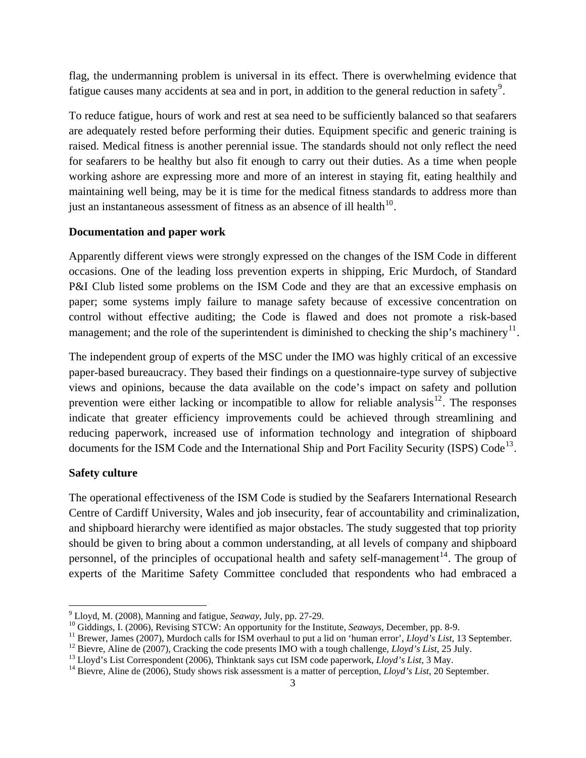flag, the undermanning problem is universal in its effect. There is overwhelming evidence that fatigue causes many accidents at sea and in port, in addition to the general reduction in safety<sup>[9](#page-2-0)</sup>.

To reduce fatigue, hours of work and rest at sea need to be sufficiently balanced so that seafarers are adequately rested before performing their duties. Equipment specific and generic training is raised. Medical fitness is another perennial issue. The standards should not only reflect the need for seafarers to be healthy but also fit enough to carry out their duties. As a time when people working ashore are expressing more and more of an interest in staying fit, eating healthily and maintaining well being, may be it is time for the medical fitness standards to address more than just an instantaneous assessment of fitness as an absence of ill health $^{10}$  $^{10}$  $^{10}$ .

#### **Documentation and paper work**

Apparently different views were strongly expressed on the changes of the ISM Code in different occasions. One of the leading loss prevention experts in shipping, Eric Murdoch, of Standard P&I Club listed some problems on the ISM Code and they are that an excessive emphasis on paper; some systems imply failure to manage safety because of excessive concentration on control without effective auditing; the Code is flawed and does not promote a risk-based management; and the role of the superintendent is diminished to checking the ship's machinery<sup>[11](#page-2-2)</sup>.

The independent group of experts of the MSC under the IMO was highly critical of an excessive paper-based bureaucracy. They based their findings on a questionnaire-type survey of subjective views and opinions, because the data available on the code's impact on safety and pollution prevention were either lacking or incompatible to allow for reliable analysis<sup>[12](#page-2-3)</sup>. The responses indicate that greater efficiency improvements could be achieved through streamlining and reducing paperwork, increased use of information technology and integration of shipboard documents for the ISM Code and the International Ship and Port Facility Security (ISPS) Code<sup>[13](#page-2-4)</sup>.

#### **Safety culture**

 $\overline{\phantom{a}}$ 

The operational effectiveness of the ISM Code is studied by the Seafarers International Research Centre of Cardiff University, Wales and job insecurity, fear of accountability and criminalization, and shipboard hierarchy were identified as major obstacles. The study suggested that top priority should be given to bring about a common understanding, at all levels of company and shipboard personnel, of the principles of occupational health and safety self-management<sup>[14](#page-2-5)</sup>. The group of experts of the Maritime Safety Committee concluded that respondents who had embraced a

 $9$  Lloyd, M. (2008), Manning and fatigue, Seaway, July, pp. 27-29.

<span id="page-2-2"></span><span id="page-2-1"></span><span id="page-2-0"></span><sup>&</sup>lt;sup>10</sup> Giddings, I. (2006), Revising STCW: An opportunity for the Institute, *Seaways*, December, pp. 8-9.<br><sup>11</sup> Brewer, James (2007), Murdoch calls for ISM overhaul to put a lid on 'human error', *Lloyd's List*, 13 Septembe

<span id="page-2-4"></span><span id="page-2-3"></span>

<span id="page-2-5"></span>